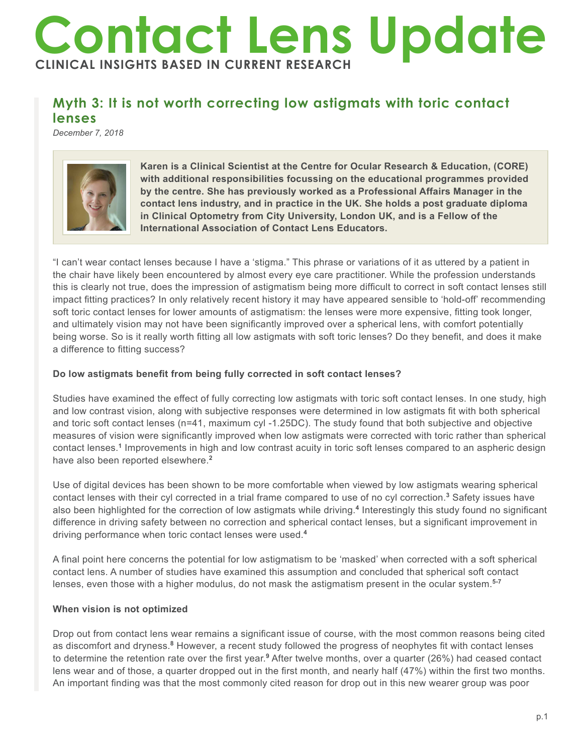# **Contact Lens Update CLINICAL INSIGHTS BASED IN CURRENT RESEARCH**

# **Myth 3: It is not worth correcting low astigmats with toric contact lenses**

*December 7, 2018*



**Karen is a Clinical Scientist at the Centre for Ocular Research & Education, (CORE) with additional responsibilities focussing on the educational programmes provided by the centre. She has previously worked as a Professional Affairs Manager in the contact lens industry, and in practice in the UK. She holds a post graduate diploma in Clinical Optometry from City University, London UK, and is a Fellow of the International Association of Contact Lens Educators.**

"I can't wear contact lenses because I have a 'stigma." This phrase or variations of it as uttered by a patient in the chair have likely been encountered by almost every eye care practitioner. While the profession understands this is clearly not true, does the impression of astigmatism being more difficult to correct in soft contact lenses still impact fitting practices? In only relatively recent history it may have appeared sensible to 'hold-off' recommending soft toric contact lenses for lower amounts of astigmatism: the lenses were more expensive, fitting took longer, and ultimately vision may not have been significantly improved over a spherical lens, with comfort potentially being worse. So is it really worth fitting all low astigmats with soft toric lenses? Do they benefit, and does it make a difference to fitting success?

## **Do low astigmats benefit from being fully corrected in soft contact lenses?**

Studies have examined the effect of fully correcting low astigmats with toric soft contact lenses. In one study, high and low contrast vision, along with subjective responses were determined in low astigmats fit with both spherical and toric soft contact lenses (n=41, maximum cyl -1.25DC). The study found that both subjective and objective measures of vision were significantly improved when low astigmats were corrected with toric rather than spherical contact lenses.**<sup>1</sup>** Improvements in high and low contrast acuity in toric soft lenses compared to an aspheric design have also been reported elsewhere.**<sup>2</sup>**

Use of digital devices has been shown to be more comfortable when viewed by low astigmats wearing spherical contact lenses with their cyl corrected in a trial frame compared to use of no cyl correction.<sup>3</sup> Safety issues have also been highlighted for the correction of low astigmats while driving.**<sup>4</sup>** Interestingly this study found no significant difference in driving safety between no correction and spherical contact lenses, but a significant improvement in driving performance when toric contact lenses were used.**<sup>4</sup>**

A final point here concerns the potential for low astigmatism to be 'masked' when corrected with a soft spherical contact lens. A number of studies have examined this assumption and concluded that spherical soft contact lenses, even those with a higher modulus, do not mask the astigmatism present in the ocular system.**5-7**

#### **When vision is not optimized**

Drop out from contact lens wear remains a significant issue of course, with the most common reasons being cited as discomfort and dryness.<sup>8</sup> However, a recent study followed the progress of neophytes fit with contact lenses to determine the retention rate over the first year.<sup>9</sup> After twelve months, over a quarter (26%) had ceased contact lens wear and of those, a quarter dropped out in the first month, and nearly half (47%) within the first two months. An important finding was that the most commonly cited reason for drop out in this new wearer group was poor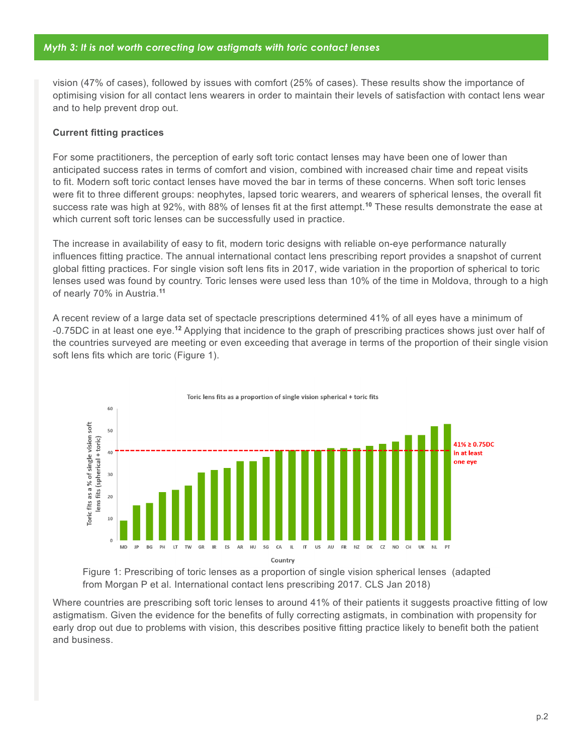vision (47% of cases), followed by issues with comfort (25% of cases). These results show the importance of optimising vision for all contact lens wearers in order to maintain their levels of satisfaction with contact lens wear and to help prevent drop out.

### **Current fitting practices**

For some practitioners, the perception of early soft toric contact lenses may have been one of lower than anticipated success rates in terms of comfort and vision, combined with increased chair time and repeat visits to fit. Modern soft toric contact lenses have moved the bar in terms of these concerns. When soft toric lenses were fit to three different groups: neophytes, lapsed toric wearers, and wearers of spherical lenses, the overall fit success rate was high at 92%, with 88% of lenses fit at the first attempt.**<sup>10</sup>** These results demonstrate the ease at which current soft toric lenses can be successfully used in practice.

The increase in availability of easy to fit, modern toric designs with reliable on-eye performance naturally influences fitting practice. The annual international contact lens prescribing report provides a snapshot of current global fitting practices. For single vision soft lens fits in 2017, wide variation in the proportion of spherical to toric lenses used was found by country. Toric lenses were used less than 10% of the time in Moldova, through to a high of nearly 70% in Austria.**<sup>11</sup>**

A recent review of a large data set of spectacle prescriptions determined 41% of all eyes have a minimum of -0.75DC in at least one eye.**<sup>12</sup>** Applying that incidence to the graph of prescribing practices shows just over half of the countries surveyed are meeting or even exceeding that average in terms of the proportion of their single vision soft lens fits which are toric (Figure 1).



Toric lens fits as a proportion of single vision spherical + toric fits

Figure 1: Prescribing of toric lenses as a proportion of single vision spherical lenses (adapted from Morgan P et al. International contact lens prescribing 2017. CLS Jan 2018)

Where countries are prescribing soft toric lenses to around 41% of their patients it suggests proactive fitting of low astigmatism. Given the evidence for the benefits of fully correcting astigmats, in combination with propensity for early drop out due to problems with vision, this describes positive fitting practice likely to benefit both the patient and business.